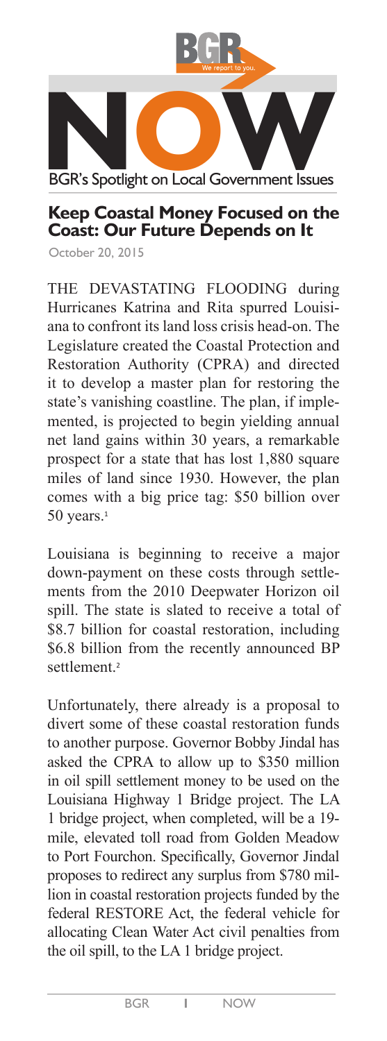

## **Keep Coastal Money Focused on the Coast: Our Future Depends on It**

October 20, 2015

THE DEVASTATING FLOODING during Hurricanes Katrina and Rita spurred Louisiana to confront its land loss crisis head-on. The Legislature created the Coastal Protection and Restoration Authority (CPRA) and directed it to develop a master plan for restoring the state's vanishing coastline. The plan, if implemented, is projected to begin yielding annual net land gains within 30 years, a remarkable prospect for a state that has lost 1,880 square miles of land since 1930. However, the plan comes with a big price tag: \$50 billion over 50 years.<sup>1</sup>

Louisiana is beginning to receive a major down-payment on these costs through settlements from the 2010 Deepwater Horizon oil spill. The state is slated to receive a total of \$8.7 billion for coastal restoration, including \$6.8 billion from the recently announced BP settlement<sup>2</sup>

Unfortunately, there already is a proposal to divert some of these coastal restoration funds to another purpose. Governor Bobby Jindal has asked the CPRA to allow up to \$350 million in oil spill settlement money to be used on the Louisiana Highway 1 Bridge project. The LA 1 bridge project, when completed, will be a 19 mile, elevated toll road from Golden Meadow to Port Fourchon. Specifically, Governor Jindal proposes to redirect any surplus from \$780 million in coastal restoration projects funded by the federal RESTORE Act, the federal vehicle for allocating Clean Water Act civil penalties from the oil spill, to the LA 1 bridge project.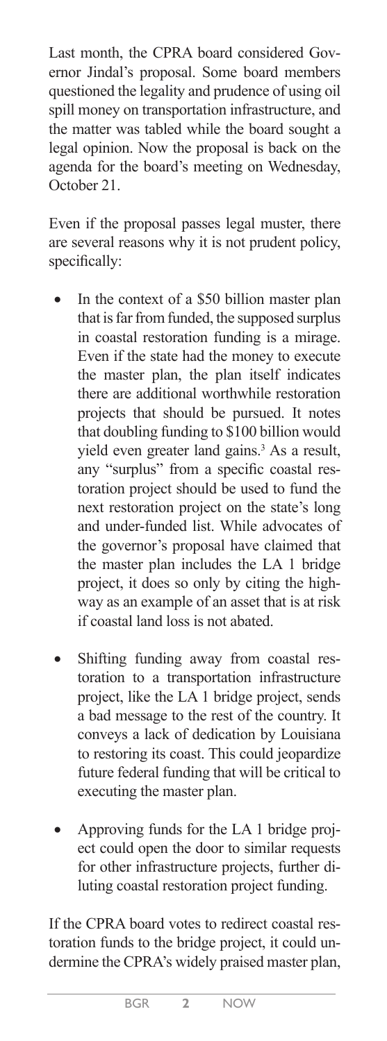Last month, the CPRA board considered Governor Jindal's proposal. Some board members questioned the legality and prudence of using oil spill money on transportation infrastructure, and the matter was tabled while the board sought a legal opinion. Now the proposal is back on the agenda for the board's meeting on Wednesday, October 21.

Even if the proposal passes legal muster, there are several reasons why it is not prudent policy, specifically:

- In the context of a \$50 billion master plan that is far from funded, the supposed surplus in coastal restoration funding is a mirage. Even if the state had the money to execute the master plan, the plan itself indicates there are additional worthwhile restoration projects that should be pursued. It notes that doubling funding to \$100 billion would yield even greater land gains.<sup>3</sup> As a result, any "surplus" from a specific coastal restoration project should be used to fund the next restoration project on the state's long and under-funded list. While advocates of the governor's proposal have claimed that the master plan includes the LA 1 bridge project, it does so only by citing the highway as an example of an asset that is at risk if coastal land loss is not abated.
- Shifting funding away from coastal restoration to a transportation infrastructure project, like the LA 1 bridge project, sends a bad message to the rest of the country. It conveys a lack of dedication by Louisiana to restoring its coast. This could jeopardize future federal funding that will be critical to executing the master plan.
- Approving funds for the LA 1 bridge project could open the door to similar requests for other infrastructure projects, further diluting coastal restoration project funding.

If the CPRA board votes to redirect coastal restoration funds to the bridge project, it could undermine the CPRA's widely praised master plan,